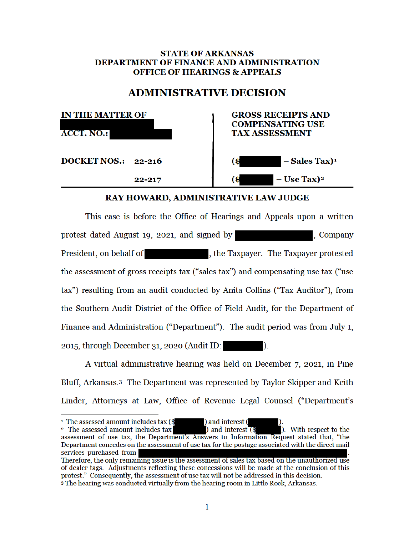## **STATE OF ARKANSAS DEPARTMENT OF FINANCE AND ADMINISTRATION OFFICE OF HEARINGS & APPEALS**

# **ADMINISTRATIVE DECISION**

| <b>IN THE MATTER OF</b><br><b>ACCT. NO.:</b> | <b>GROSS RECEIPTS AND</b><br><b>COMPENSATING USE</b><br><b>TAX ASSESSMENT</b> |
|----------------------------------------------|-------------------------------------------------------------------------------|
| <b>DOCKET NOS.: 22-216</b>                   | $-Sales Tax)^1$<br>(\$                                                        |
| $22 - 217$                                   | $-$ Use Tax) <sup>2</sup><br>. S                                              |

# **RAY HOWARD, ADMINISTRATIVE LAW JUDGE**

This case is before the Office of Hearings and Appeals upon a written protest dated August 19, 2021, and signed by Company President, on behalf of , the Taxpayer. The Taxpayer protested the assessment of gross receipts tax ("sales tax") and compensating use tax ("use tax") resulting from an audit conducted by Anita Collins ("Tax Auditor"), from the Southern Audit District of the Office of Field Audit, for the Department of Finance and Administration ("Department"). The audit period was from July 1, 2015, through December 31, 2020 (Audit ID:  $\mathcal{L}$ 

A virtual administrative hearing was held on December 7, 2021, in Pine Bluff, Arkansas.<sup>3</sup> The Department was represented by Taylor Skipper and Keith Linder, Attorneys at Law, Office of Revenue Legal Counsel ("Department's

) and interest ( <sup>1</sup> The assessed amount includes tax (\$ ). With respect to the ) and interest  $($ <sup>2</sup> The assessed amount includes tax assessment of use tax, the Department's Answers to Information Request stated that, "the Department concedes on the assessment of use tax for the postage associated with the direct mail services purchased from Therefore, the only remaining issue is the assessment of sales tax based on the unauthorized use of dealer tags. Adjustments reflecting these concessions will be made at the conclusion of this

protest." Consequently, the assessment of use tax will not be addressed in this decision. 3 The hearing was conducted virtually from the hearing room in Little Rock, Arkansas.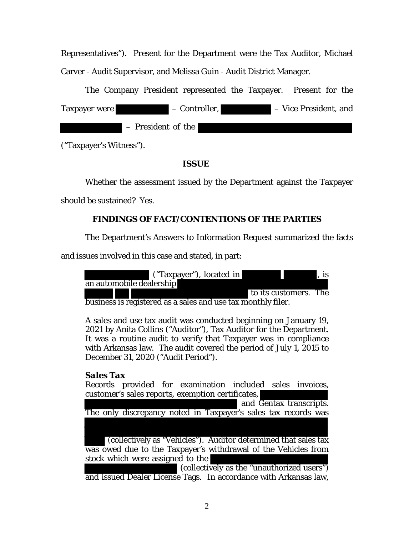Representatives"). Present for the Department were the Tax Auditor, Michael Carver - Audit Supervisor, and Melissa Guin - Audit District Manager.

The Company President represented the Taxpayer. Present for the Taxpayer were – Controller, – Vice President, and – President of the

("Taxpayer's Witness").

**ISSUE**

Whether the assessment issued by the Department against the Taxpayer

should be sustained? Yes.

# **FINDINGS OF FACT/CONTENTIONS OF THE PARTIES**

The Department's Answers to Information Request summarized the facts

and issues involved in this case and stated, in part:



business is registered as a sales and use tax monthly filer.

A sales and use tax audit was conducted beginning on January 19, 2021 by Anita Collins ("Auditor"), Tax Auditor for the Department. It was a routine audit to verify that Taxpayer was in compliance with Arkansas law. The audit covered the period of July 1, 2015 to December 31, 2020 ("Audit Period").

# *Sales Tax*

Records provided for examination included sales invoices, customer's sales reports, exemption certificates,

 and Gentax transcripts. The only discrepancy noted in Taxpayer's sales tax records was (collectively as "Vehicles"). Auditor determined that sales tax was owed due to the Taxpayer's withdrawal of the Vehicles from stock which were assigned to the (collectively as the "unauthorized users") and issued Dealer License Tags. In accordance with Arkansas law,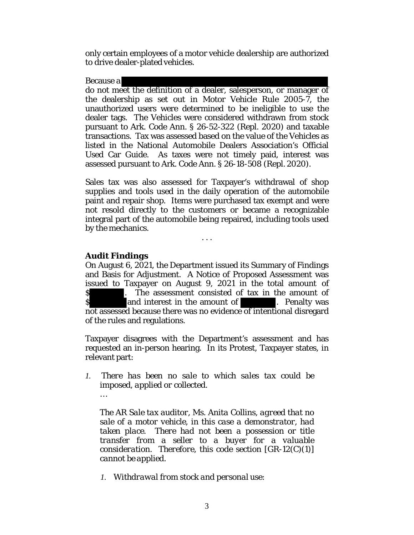only certain employees of a motor vehicle dealership are authorized to drive dealer-plated vehicles.

Because a

do not meet the definition of a dealer, salesperson, or manager of the dealership as set out in Motor Vehicle Rule 2005-7, the unauthorized users were determined to be ineligible to use the dealer tags. The Vehicles were considered withdrawn from stock pursuant to Ark. Code Ann. § 26-52-322 (Repl. 2020) and taxable transactions. Tax was assessed based on the value of the Vehicles as listed in the National Automobile Dealers Association's Official Used Car Guide. As taxes were not timely paid, interest was assessed pursuant to Ark. Code Ann. § 26-18-508 (Repl. 2020).

Sales tax was also assessed for Taxpayer's withdrawal of shop supplies and tools used in the daily operation of the automobile paint and repair shop. Items were purchased tax exempt and were not resold directly to the customers or became a recognizable integral part of the automobile being repaired, including tools used by the mechanics.

. . .

*Audit Findings*

On August 6, 2021, the Department issued its Summary of Findings and Basis for Adjustment. A Notice of Proposed Assessment was issued to Taxpayer on August 9, 2021 in the total amount of \$ . The assessment consisted of tax in the amount of \$ . Penalty was and interest in the amount of **and interest in the amount of** . Penalty was not assessed because there was no evidence of intentional disregard of the rules and regulations.

Taxpayer disagrees with the Department's assessment and has requested an in-person hearing. In its Protest, Taxpayer states, in relevant part:

*1. There has been no sale to which sales tax could be imposed, applied or collected. …* 

*The AR Sale tax auditor, Ms. Anita Collins, agreed that no sale of a motor vehicle, in this case a demonstrator, had taken place. There had not been a possession or title transfer from a seller to a buyer for a valuable consideration. Therefore, this code section [GR-12(C)(1)] cannot be applied.*

*1. Withdrawal from stock and personal use:*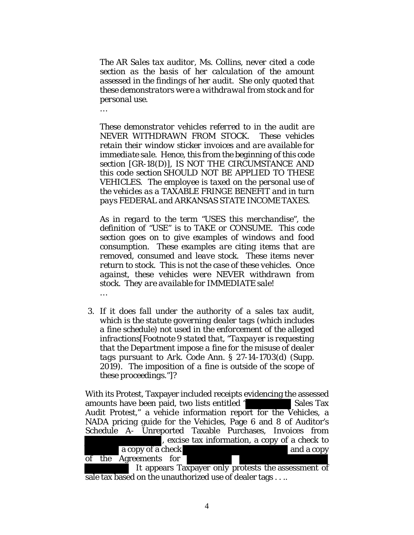*The AR Sales tax auditor, Ms. Collins, never cited a code section as the basis of her calculation of the amount assessed in the findings of her audit. She only quoted that these demonstrators were a withdrawal from stock and for personal use.*

*…* 

*These demonstrator vehicles referred to in the audit are NEVER WITHDRAWN FROM STOCK. These vehicles retain their window sticker invoices and are available for immediate sale. Hence, this from the beginning of this code section [GR-18(D)], IS NOT THE CIRCUMSTANCE AND this code section SHOULD NOT BE APPLIED TO THESE VEHICLES. The employee is taxed on the personal use of the vehicles as a TAXABLE FRINGE BENEFIT and in turn pays FEDERAL and ARKANSAS STATE INCOMETAXES.*

*As in regard to the term "USES this merchandise", the definition of "USE" is to TAKE or CONSUME. This code section goes on to give examples of windows and food consumption. These examples are citing items that are removed, consumed and leave stock. These items never return to stock. This is not the case of these vehicles. Once against, these vehicles were NEVER withdrawn from stock. They are available for IMMEDIATE sale! …* 

*3. If it does fall under the authority of a sales tax audit, which is the statute governing dealer tags (which includes a fine schedule) not used in the enforcement of the alleged infractions[Footnote 9 stated that, "Taxpayer is requesting that the Department impose a fine for the misuse of dealer tags pursuant to Ark. Code Ann. § 27-14-1703(d) (Supp. 2019). The imposition of a fine is outside of the scope of these proceedings."]?* 

With its Protest, Taxpayer included receipts evidencing the assessed amounts have been paid, two lists entitled " Sales Tax Audit Protest," a vehicle information report for the Vehicles, a NADA pricing guide for the Vehicles, Page 6 and 8 of Auditor's Schedule A- Unreported Taxable Purchases, Invoices from , excise tax information, a copy of a check to a copy of a check and a copy of the Agreements for

 It appears Taxpayer only protests the assessment of sale tax based on the unauthorized use of dealer tags . . ..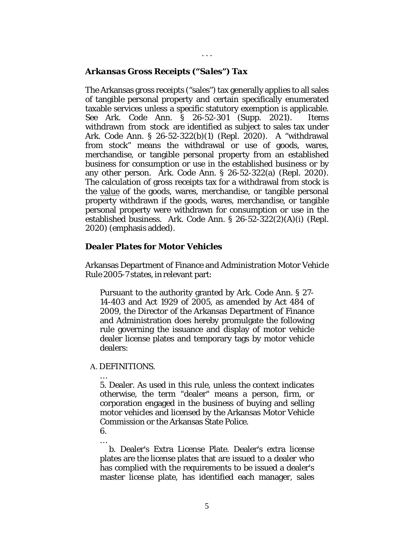## *Arkansas Gross Receipts ("Sales") Tax*

The Arkansas gross receipts ("sales") tax generally applies to all sales of tangible personal property and certain specifically enumerated taxable services unless a specific statutory exemption is applicable. *See* Ark. Code Ann. § 26-52-301 (Supp. 2021). Items withdrawn from stock are identified as subject to sales tax under Ark. Code Ann. § 26-52-322(b)(1) (Repl. 2020). A "withdrawal from stock" means the withdrawal or use of goods, wares, merchandise, or tangible personal property from an established business for consumption or use in the established business or by any other person. Ark. Code Ann. § 26-52-322(a) (Repl. 2020). The calculation of gross receipts tax for a withdrawal from stock is the value of the goods, wares, merchandise, or tangible personal property withdrawn if the goods, wares, merchandise, or tangible personal property were withdrawn for consumption or use in the established business. Ark. Code Ann. § 26-52-322(2)(A)(i) (Repl. 2020) (emphasis added).

. . .

# *Dealer Plates for Motor Vehicles*

Arkansas Department of Finance and Administration Motor Vehicle Rule 2005-7 states, in relevant part:

Pursuant to the authority granted by Ark. Code Ann. § 27- 14-403 and Act 1929 of 2005, as amended by Act 484 of 2009, the Director of the Arkansas Department of Finance and Administration does hereby promulgate the following rule governing the issuance and display of motor vehicle dealer license plates and temporary tags by motor vehicle dealers:

### A. DEFINITIONS.

…

5. Dealer. As used in this rule, unless the context indicates otherwise, the term "dealer" means a person, firm, or corporation engaged in the business of buying and selling motor vehicles and licensed by the Arkansas Motor Vehicle Commission or the Arkansas State Police.

6. …

b. Dealer's Extra License Plate. Dealer's extra license plates are the license plates that are issued to a dealer who has complied with the requirements to be issued a dealer's master license plate, has identified each manager, sales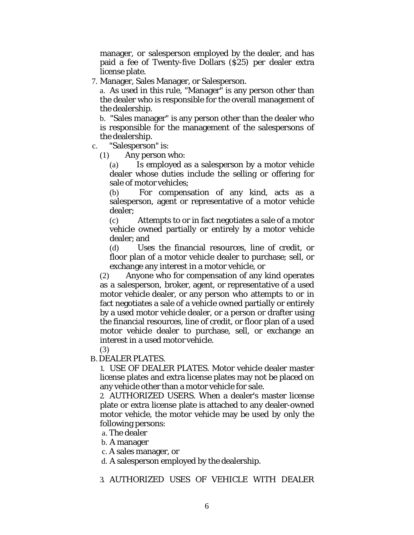manager, or salesperson employed by the dealer, and has paid a fee of Twenty-five Dollars (\$25) per dealer extra license plate.

7. Manager, Sales Manager, or Salesperson.

a. As used in this rule, "Manager" is any person other than the dealer who is responsible for the overall management of the dealership.

b. "Sales manager" is any person other than the dealer who is responsible for the management of the salespersons of the dealership.

c. "Salesperson" is:

(1) Any person who:

(a) Is employed as a salesperson by a motor vehicle dealer whose duties include the selling or offering for sale of motor vehicles;

(b) For compensation of any kind, acts as a salesperson, agent or representative of a motor vehicle dealer;

(c) Attempts to or in fact negotiates a sale of a motor vehicle owned partially or entirely by a motor vehicle dealer; and

(d) Uses the financial resources, line of credit, or floor plan of a motor vehicle dealer to purchase; sell, or exchange any interest in a motor vehicle, or

(2) Anyone who for compensation of any kind operates as a salesperson, broker, agent, or representative of a used motor vehicle dealer, or any person who attempts to or in fact negotiates a sale of a vehicle owned partially or entirely by a used motor vehicle dealer, or a person or drafter using the financial resources, line of credit, or floor plan of a used motor vehicle dealer to purchase, sell, or exchange an interest in a used motor vehicle.

(3)

# B.DEALER PLATES.

1. USE OF DEALER PLATES. Motor vehicle dealer master license plates and extra license plates may not be placed on any vehicle other than a motor vehicle for sale.

2. AUTHORIZED USERS. When a dealer's master license plate or extra license plate is attached to any dealer-owned motor vehicle, the motor vehicle may be used by only the following persons:

a. The dealer

b. A manager

c. A sales manager, or

d. A salesperson employed by the dealership.

# 3. AUTHORIZED USES OF VEHICLE WITH DEALER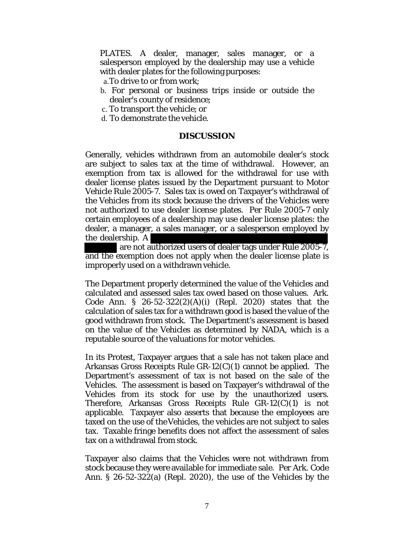PLATES. A dealer, manager, sales manager, or a salesperson employed by the dealership may use a vehicle with dealer plates for the following purposes:

- a.To drive to or from work;
- b. For personal or business trips inside or outside the dealer's county of residence;
- c. To transport the vehicle; or
- d. To demonstrate the vehicle.

#### **DISCUSSION**

Generally, vehicles withdrawn from an automobile dealer's stock are subject to sales tax at the time of withdrawal. However, an exemption from tax is allowed for the withdrawal for use with dealer license plates issued by the Department pursuant to Motor Vehicle Rule 2005-7. Sales tax is owed on Taxpayer's withdrawal of the Vehicles from its stock because the drivers of the Vehicles were not authorized to use dealer license plates. Per Rule 2005-7 only certain employees of a dealership may use dealer license plates: the dealer, a manager, a sales manager, or a salesperson employed by the dealership. A

 are not authorized users of dealer tags under Rule 2005-7, and the exemption does not apply when the dealer license plate is improperly used on a withdrawn vehicle.

The Department properly determined the value of the Vehicles and calculated and assessed sales tax owed based on those values. Ark. Code Ann. § 26-52-322(2)(A)(i) (Repl. 2020) states that the calculation of sales tax for a withdrawn good is based the value of the good withdrawn from stock. The Department's assessment is based on the value of the Vehicles as determined by NADA, which is a reputable source of the valuations for motor vehicles.

In its Protest, Taxpayer argues that a sale has not taken place and Arkansas Gross Receipts Rule GR-12(C)(1) cannot be applied. The Department's assessment of tax is not based on the sale of the Vehicles. The assessment is based on Taxpayer's withdrawal of the Vehicles from its stock for use by the unauthorized users. Therefore, Arkansas Gross Receipts Rule GR-12(C)(1) is not applicable. Taxpayer also asserts that because the employees are taxed on the use of theVehicles, the vehicles are not subject to sales tax. Taxable fringe benefits does not affect the assessment of sales tax on a withdrawal from stock.

Taxpayer also claims that the Vehicles were not withdrawn from stock because they were available for immediate sale. Per Ark. Code Ann. § 26-52-322(a) (Repl. 2020), the use of the Vehicles by the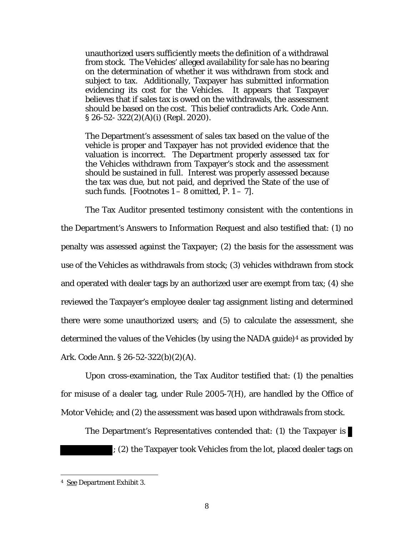unauthorized users sufficiently meets the definition of a withdrawal from stock. The Vehicles' alleged availability for sale has no bearing on the determination of whether it was withdrawn from stock and subject to tax. Additionally, Taxpayer has submitted information evidencing its cost for the Vehicles. It appears that Taxpayer believes that if sales tax is owed on the withdrawals, the assessment should be based on the cost. This belief contradicts Ark. Code Ann. § 26-52- 322(2)(A)(i) (Repl. 2020).

The Department's assessment of sales tax based on the value of the vehicle is proper and Taxpayer has not provided evidence that the valuation is incorrect. The Department properly assessed tax for the Vehicles withdrawn from Taxpayer's stock and the assessment should be sustained in full. Interest was properly assessed because the tax was due, but not paid, and deprived the State of the use of such funds. [Footnotes  $1 - 8$  omitted, P.  $1 - 7$ ].

The Tax Auditor presented testimony consistent with the contentions in the Department's Answers to Information Request and also testified that: (1) no penalty was assessed against the Taxpayer; (2) the basis for the assessment was use of the Vehicles as withdrawals from stock; (3) vehicles withdrawn from stock and operated with dealer tags by an authorized user are exempt from tax; (4) she reviewed the Taxpayer's employee dealer tag assignment listing and determined there were some unauthorized users; and (5) to calculate the assessment, she determined the values of the Vehicles (by using the NADA guide)<sup>4</sup> as provided by Ark. Code Ann. § 26-52-322(b)(2)(A).

Upon cross-examination, the Tax Auditor testified that: (1) the penalties for misuse of a dealer tag, under Rule 2005-7(H), are handled by the Office of Motor Vehicle; and (2) the assessment was based upon withdrawals from stock.

The Department's Representatives contended that: (1) the Taxpayer is ; (2) the Taxpayer took Vehicles from the lot, placed dealer tags on

<sup>4</sup> See Department Exhibit 3.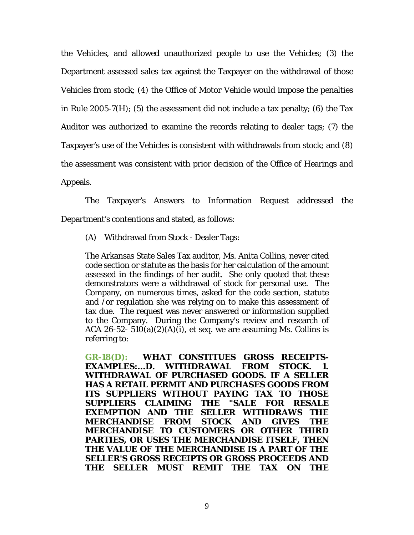the Vehicles, and allowed unauthorized people to use the Vehicles; (3) the Department assessed sales tax against the Taxpayer on the withdrawal of those Vehicles from stock; (4) the Office of Motor Vehicle would impose the penalties in Rule 2005-7(H); (5) the assessment did not include a tax penalty; (6) the Tax Auditor was authorized to examine the records relating to dealer tags; (7) the Taxpayer's use of the Vehicles is consistent with withdrawals from stock; and (8) the assessment was consistent with prior decision of the Office of Hearings and Appeals.

The Taxpayer's Answers to Information Request addressed the Department's contentions and stated, as follows:

(A) Withdrawal from Stock - Dealer Tags:

The Arkansas State Sales Tax auditor, Ms. Anita Collins, never cited code section or statute as the basis for her calculation of the amount assessed in the findings of her audit. She only quoted that these demonstrators were a withdrawal of stock for personal use. The Company, on numerous times, asked for the code section, statute and /or regulation she was relying on to make this assessment of tax due. The request was never answered or information supplied to the Company. During the Company's review and research of ACA 26-52-  $510(a)(2)(A)(i)$ , et seq. we are assuming Ms. Collins is referring to:

**GR-18(D):** *WHAT CONSTITUES GROSS RECEIPTS-EXAMPLES:...D. WITHDRAWAL FROM STOCK. 1. WITHDRAWAL OF PURCHASED GOODS. IF A SELLER HAS A RETAIL PERMIT AND PURCHASES GOODS FROM ITS SUPPLIERS WITHOUT PAYING TAX TO THOSE SUPPLIERS CLAIMING THE "SALE FOR RESALE EXEMPTION AND THE SELLER WITHDRAWS THE MERCHANDISE FROM STOCK AND GIVES THE MERCHANDISE* **TO** *CUSTOMERS OR OTHER THIRD PARTIES, OR USES THE MERCHANDISE ITSELF, THEN THE VALUE OF THE MERCHANDISE IS A PART OF THE SELLER'S GROSS RECEIPTS OR GROSS PROCEEDS AND THE SELLER MUST REMIT THE TAX ON THE*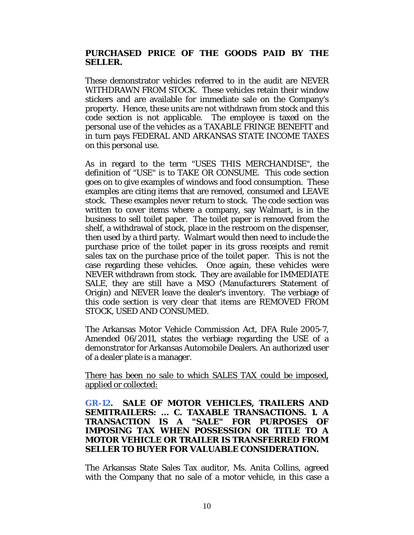# *PURCHASED PRICE OF THE GOODS PAID BY THE SELLER.*

These demonstrator vehicles referred to in the audit are NEVER WITHDRAWN FROM STOCK. These vehicles retain their window stickers and are available for immediate sale on the Company's property. Hence, these units are not withdrawn from stock and this code section is not applicable. The employee is taxed on the personal use of the vehicles as a TAXABLE FRINGE BENEFIT and in turn pays FEDERAL AND ARKANSAS STATE INCOME TAXES on this personal use.

As in regard to the term *"USES THIS MERCHANDISE",* the definition of "USE" is to TAKE OR CONSUME. This code section goes on to give examples of windows and food consumption. These examples are citing items that are removed, consumed and LEAVE stock. These examples never return to stock. The code section was written to cover items where a company, say Walmart, is in the business to sell toilet paper. The toilet paper is removed from the shelf, a withdrawal of stock, place in the restroom on the dispenser, then used by a third party. Walmart would then need to include the purchase price of the toilet paper in its gross receipts and remit sales tax on the purchase price of the toilet paper. This is not the case regarding these vehicles. Once again, these vehicles were NEVER withdrawn from stock. They are available for IMMEDIATE SALE, they are still have a MSO (Manufacturers Statement of Origin) and NEVER leave the dealer's inventory. The verbiage of this code section is very clear that items are REMOVED FROM STOCK, USED AND CONSUMED.

The Arkansas Motor Vehicle Commission Act, DFA Rule 2005-7, Amended 06/2011, states the verbiage regarding the USE of a demonstrator for Arkansas Automobile Dealers. An authorized user of a dealer plate is a manager.

There has been no sale to which SALES TAX could be imposed, applied or collected:

# *GR-12. SALE OF MOTOR VEHICLES, TRAILERS AND SEMITRAILERS:* **... C.** *TAXABLE TRANSACTIONS. 1. A TRANSACTION IS A "SALE" FOR PURPOSES OF IMPOSING TAX WHEN POSSESSION OR TITLE TO A MOTOR VEHICLE OR TRAILER IS TRANSFERRED FROM SELLER TO BUYER FOR VALUABLE CONSIDERATION.*

The Arkansas State Sales Tax auditor, Ms. Anita Collins, agreed with the Company that no sale of a motor vehicle, in this case a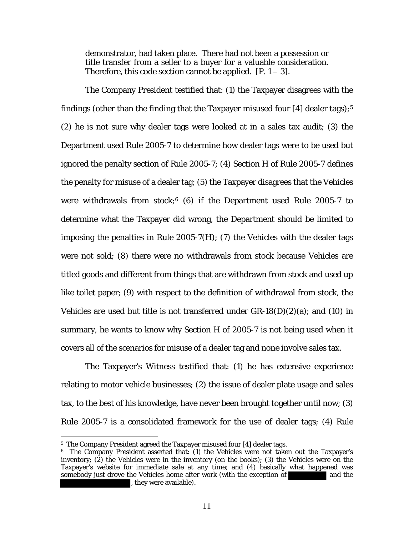demonstrator, had taken place. There had not been a possession or title transfer from a seller to a buyer for a valuable consideration. Therefore, this code section cannot be applied.  $[P, 1-3]$ .

The Company President testified that: (1) the Taxpayer disagrees with the findings (other than the finding that the Taxpayer misused four  $[4]$  dealer tags);<sup>5</sup> (2) he is not sure why dealer tags were looked at in a sales tax audit; (3) the Department used Rule 2005-7 to determine how dealer tags were to be used but ignored the penalty section of Rule 2005-7; (4) Section H of Rule 2005-7 defines the penalty for misuse of a dealer tag; (5) the Taxpayer disagrees that the Vehicles were withdrawals from stock; $6$  (6) if the Department used Rule 2005-7 to determine what the Taxpayer did wrong, the Department should be limited to imposing the penalties in Rule 2005-7(H); (7) the Vehicles with the dealer tags were not sold; (8) there were no withdrawals from stock because Vehicles are titled goods and different from things that are withdrawn from stock and used up like toilet paper; (9) with respect to the definition of withdrawal from stock, the Vehicles are used but title is not transferred under  $GR-18(D)(2)(a)$ ; and (10) in summary, he wants to know why Section H of 2005-7 is not being used when it covers all of the scenarios for misuse of a dealer tag and none involve sales tax.

The Taxpayer's Witness testified that: (1) he has extensive experience relating to motor vehicle businesses; (2) the issue of dealer plate usage and sales tax, to the best of his knowledge, have never been brought together until now; (3) Rule 2005-7 is a consolidated framework for the use of dealer tags; (4) Rule

<sup>5</sup> The Company President agreed the Taxpayer misused four [4] dealer tags.

<sup>6</sup> The Company President asserted that: (1) the Vehicles were not taken out the Taxpayer's inventory;  $(2)$  the Vehicles were in the inventory (on the books);  $(3)$  the Vehicles were on the Taxpayer's website for immediate sale at any time; and (4) basically what happened was<br>somebody just drove the Vehicles home after work (with the exception of somebody just drove the Vehicles home after work (with the exception of , they were available).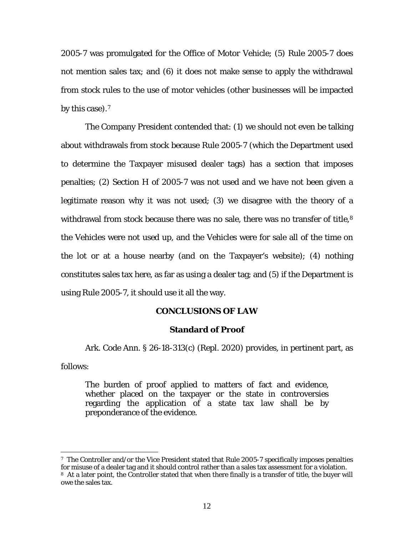2005-7 was promulgated for the Office of Motor Vehicle; (5) Rule 2005-7 does not mention sales tax; and (6) it does not make sense to apply the withdrawal from stock rules to the use of motor vehicles (other businesses will be impacted by this case).<sup>7</sup>

The Company President contended that: (1) we should not even be talking about withdrawals from stock because Rule 2005-7 (which the Department used to determine the Taxpayer misused dealer tags) has a section that imposes penalties; (2) Section H of 2005-7 was not used and we have not been given a legitimate reason why it was not used; (3) we disagree with the theory of a withdrawal from stock because there was no sale, there was no transfer of title,<sup>8</sup> the Vehicles were not used up, and the Vehicles were for sale all of the time on the lot or at a house nearby (and on the Taxpayer's website); (4) nothing constitutes sales tax here, as far as using a dealer tag; and (5) if the Department is using Rule 2005-7, it should use it all the way.

#### **CONCLUSIONS OF LAW**

### **Standard of Proof**

Ark. Code Ann. § 26-18-313(c) (Repl. 2020) provides, in pertinent part, as

follows:

The burden of proof applied to matters of fact and evidence, whether placed on the taxpayer or the state in controversies regarding the application of a state tax law shall be by preponderance of the evidence.

<sup>7</sup> The Controller and/or the Vice President stated that Rule 2005-7 specifically imposes penalties for misuse of a dealer tag and it should control rather than a sales tax assessment for a violation. 8 At a later point, the Controller stated that when there finally is a transfer of title, the buyer will owe the sales tax.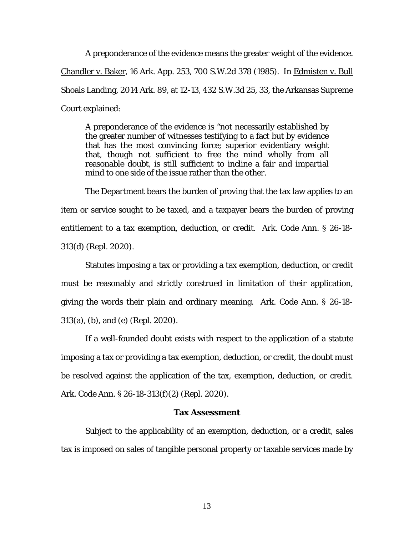A preponderance of the evidence means the greater weight of the evidence. Chandler v. Baker, 16 Ark. App. 253, 700 S.W.2d 378 (1985). In Edmisten v. Bull Shoals Landing, 2014 Ark. 89, at 12-13, 432 S.W.3d 25, 33, the Arkansas Supreme Court explained:

A preponderance of the evidence is "not necessarily established by the greater number of witnesses testifying to a fact but by evidence that has the most convincing force; superior evidentiary weight that, though not sufficient to free the mind wholly from all reasonable doubt, is still sufficient to incline a fair and impartial mind to one side of the issue rather than the other.

The Department bears the burden of proving that the tax law applies to an item or service sought to be taxed, and a taxpayer bears the burden of proving entitlement to a tax exemption, deduction, or credit. Ark. Code Ann. § 26-18- 313(d) (Repl. 2020).

Statutes imposing a tax or providing a tax exemption, deduction, or credit must be reasonably and strictly construed in limitation of their application, giving the words their plain and ordinary meaning. Ark. Code Ann. § 26-18- 313(a), (b), and (e) (Repl. 2020).

If a well-founded doubt exists with respect to the application of a statute imposing a tax or providing a tax exemption, deduction, or credit, the doubt must be resolved against the application of the tax, exemption, deduction, or credit. Ark. Code Ann. § 26-18-313(f)(2) (Repl. 2020).

### **Tax Assessment**

Subject to the applicability of an exemption, deduction, or a credit, sales tax is imposed on sales of tangible personal property or taxable services made by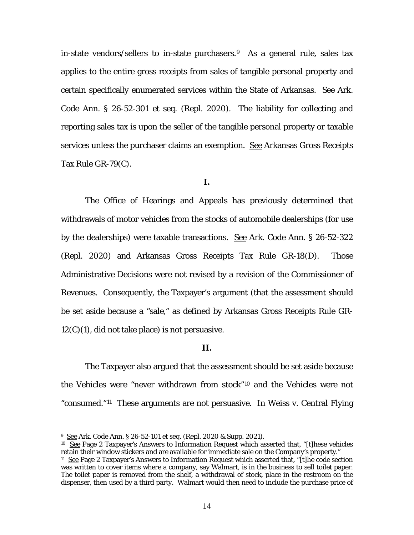in-state vendors/sellers to in-state purchasers.<sup>9</sup> As a general rule, sales tax applies to the entire gross receipts from sales of tangible personal property and certain specifically enumerated services within the State of Arkansas. See Ark. Code Ann. § 26-52-301 et seq. (Repl. 2020). The liability for collecting and reporting sales tax is upon the seller of the tangible personal property or taxable services unless the purchaser claims an exemption. See Arkansas Gross Receipts Tax Rule GR-79(C).

#### **I.**

The Office of Hearings and Appeals has previously determined that withdrawals of motor vehicles from the stocks of automobile dealerships (for use by the dealerships) were taxable transactions. See Ark. Code Ann. § 26-52-322 (Repl. 2020) and Arkansas Gross Receipts Tax Rule GR-18(D). Those Administrative Decisions were not revised by a revision of the Commissioner of Revenues. Consequently, the Taxpayer's argument (that the assessment should be set aside because a "sale," as defined by Arkansas Gross Receipts Rule GR- $12(C)(1)$ , did not take place) is not persuasive.

#### **II.**

The Taxpayer also argued that the assessment should be set aside because the Vehicles were "never withdrawn from stock"10 and the Vehicles were not "consumed."<sup>11</sup> These arguments are not persuasive. In Weiss v. Central Flying

<sup>9</sup>See Ark. Code Ann. § 26-52-101 et seq. (Repl. 2020 & Supp. 2021).

<sup>10</sup> See Page 2 Taxpayer's Answers to Information Request which asserted that, "[t]hese vehicles retain their window stickers and are available for immediate sale on the Company's property."

<sup>11</sup> See Page 2 Taxpayer's Answers to Information Request which asserted that, "[t]he code section was written to cover items where a company, say Walmart, is in the business to sell toilet paper. The toilet paper is removed from the shelf, a withdrawal of stock, place in the restroom on the dispenser, then used by a third party. Walmart would then need to include the purchase price of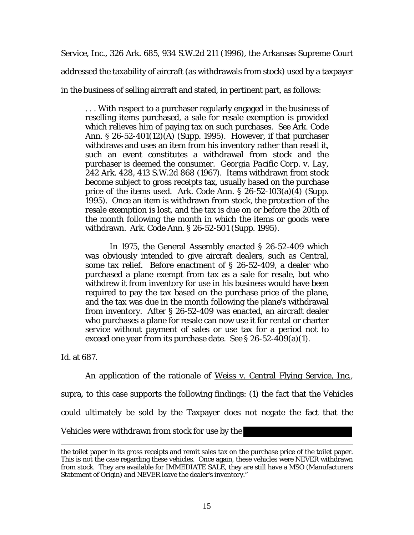Service, Inc., 326 Ark. 685, 934 S.W.2d 211 (1996), the Arkansas Supreme Court addressed the taxability of aircraft (as withdrawals from stock) used by a taxpayer in the business of selling aircraft and stated, in pertinent part, as follows:

. . . With respect to a purchaser regularly engaged in the business of reselling items purchased, a sale for resale exemption is provided which relieves him of paying tax on such purchases. *See* Ark. Code Ann. § 26-52-401(12)(A) (Supp. 1995). However, if that purchaser withdraws and uses an item from his inventory rather than resell it, such an event constitutes a withdrawal from stock and the purchaser is deemed the consumer. *Georgia Pacific Corp. v. Lay*, 242 Ark. 428, 413 S.W.2d 868 (1967). Items withdrawn from stock become subject to gross receipts tax, usually based on the purchase price of the items used. Ark. Code Ann. § 26-52-103(a)(4) (Supp. 1995). Once an item is withdrawn from stock, the protection of the resale exemption is lost, and the tax is due on or before the 20th of the month following the month in which the items or goods were withdrawn. Ark. Code Ann. § 26-52-501 (Supp. 1995).

In 1975, the General Assembly enacted § 26-52-409 which was obviously intended to give aircraft dealers, such as Central, some tax relief. Before enactment of § 26-52-409, a dealer who purchased a plane exempt from tax as a sale for resale, but who withdrew it from inventory for use in his business would have been required to pay the tax based on the purchase price of the plane, and the tax was due in the month following the plane's withdrawal from inventory. After § 26-52-409 was enacted, an aircraft dealer who purchases a plane for resale can now use it for rental or charter service without payment of sales or use tax for a period not to exceed one year from its purchase date. *See* § 26-52-409(a)(1).

Id. at 687.

An application of the rationale of Weiss v. Central Flying Service, Inc., supra, to this case supports the following findings: (1) the fact that the Vehicles could ultimately be sold by the Taxpayer does not negate the fact that the Vehicles were withdrawn from stock for use by the

the toilet paper in its gross receipts and remit sales tax on the purchase price of the toilet paper. This is not the case regarding these vehicles. Once again, these vehicles were NEVER withdrawn from stock. They are available for IMMEDIATE SALE, they are still have a MSO (Manufacturers Statement of Origin) and NEVER leave the dealer's inventory."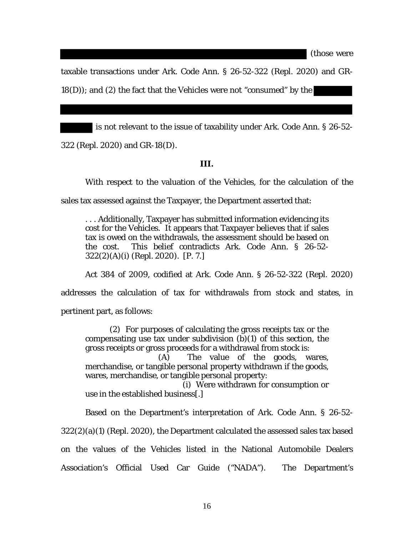(those were

taxable transactions under Ark. Code Ann. § 26-52-322 (Repl. 2020) and GR- $18(D)$ ; and (2) the fact that the Vehicles were not "consumed" by the

is not relevant to the issue of taxability under Ark. Code Ann. § 26-52- 322 (Repl. 2020) and GR-18(D).

#### **III.**

With respect to the valuation of the Vehicles, for the calculation of the

sales tax assessed against the Taxpayer, the Department asserted that:

. . . Additionally, Taxpayer has submitted information evidencing its cost for the Vehicles. It appears that Taxpayer believes that if sales tax is owed on the withdrawals, the assessment should be based on the cost. This belief contradicts Ark. Code Ann. § 26-52- 322(2)(A)(i) (Repl. 2020). [P. 7.]

Act 384 of 2009, codified at Ark. Code Ann. § 26-52-322 (Repl. 2020)

addresses the calculation of tax for withdrawals from stock and states, in

pertinent part, as follows:

(2) For purposes of calculating the gross receipts tax or the compensating use tax under subdivision  $(b)(1)$  of this section, the gross receipts or gross proceeds for a withdrawal from stock is:

 (A) The value of the goods, wares, merchandise, or tangible personal property withdrawn if the goods, wares, merchandise, or tangible personal property:

 (i) Were withdrawn for consumption or use in the established business[.]

Based on the Department's interpretation of Ark. Code Ann. § 26-52- 322(2)(a)(1) (Repl. 2020), the Department calculated the assessed sales tax based on the values of the Vehicles listed in the National Automobile Dealers Association's Official Used Car Guide ("NADA"). The Department's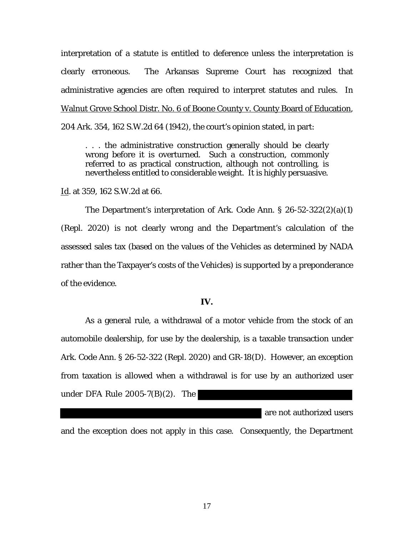interpretation of a statute is entitled to deference unless the interpretation is clearly erroneous. The Arkansas Supreme Court has recognized that administrative agencies are often required to interpret statutes and rules. In Walnut Grove School Distr. No. 6 of Boone County v. County Board of Education, 204 Ark. 354, 162 S.W.2d 64 (1942), the court's opinion stated, in part:

. . . the administrative construction generally should be clearly wrong before it is overturned. Such a construction, commonly referred to as practical construction, although not controlling, is nevertheless entitled to considerable weight. It is highly persuasive.

Id. at 359, 162 S.W.2d at 66.

The Department's interpretation of Ark. Code Ann. § 26-52-322(2)(a)(1) (Repl. 2020) is not clearly wrong and the Department's calculation of the assessed sales tax (based on the values of the Vehicles as determined by NADA rather than the Taxpayer's costs of the Vehicles) is supported by a preponderance of the evidence.

#### **IV.**

As a general rule, a withdrawal of a motor vehicle from the stock of an automobile dealership, for use by the dealership, is a taxable transaction under Ark. Code Ann. § 26-52-322 (Repl. 2020) and GR-18(D). However, an exception from taxation is allowed when a withdrawal is for use by an authorized user under DFA Rule 2005-7(B)(2). The

are not authorized users and the exception does not apply in this case. Consequently, the Department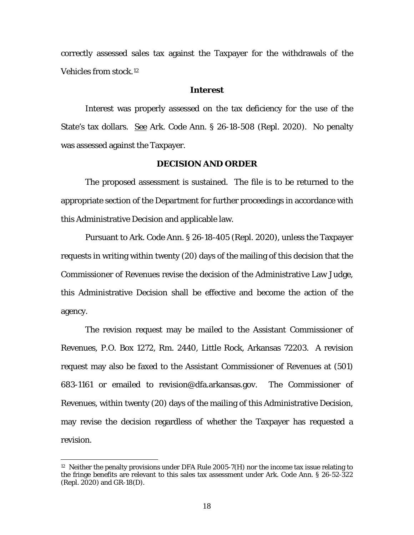correctly assessed sales tax against the Taxpayer for the withdrawals of the Vehicles from stock.12

#### **Interest**

Interest was properly assessed on the tax deficiency for the use of the State's tax dollars. See Ark. Code Ann. § 26-18-508 (Repl. 2020). No penalty was assessed against the Taxpayer.

#### **DECISION AND ORDER**

The proposed assessment is sustained. The file is to be returned to the appropriate section of the Department for further proceedings in accordance with this Administrative Decision and applicable law.

Pursuant to Ark. Code Ann. § 26-18-405 (Repl. 2020), unless the Taxpayer requests in writing within twenty (20) days of the mailing of this decision that the Commissioner of Revenues revise the decision of the Administrative Law Judge, this Administrative Decision shall be effective and become the action of the agency.

The revision request may be mailed to the Assistant Commissioner of Revenues, P.O. Box 1272, Rm. 2440, Little Rock, Arkansas 72203. A revision request may also be faxed to the Assistant Commissioner of Revenues at (501) 683-1161 or emailed to revision@dfa.arkansas.gov. The Commissioner of Revenues, within twenty (20) days of the mailing of this Administrative Decision, may revise the decision regardless of whether the Taxpayer has requested a revision.

 $12$  Neither the penalty provisions under DFA Rule 2005-7(H) nor the income tax issue relating to the fringe benefits are relevant to this sales tax assessment under Ark. Code Ann. § 26-52-322 (Repl. 2020) and GR-18(D).